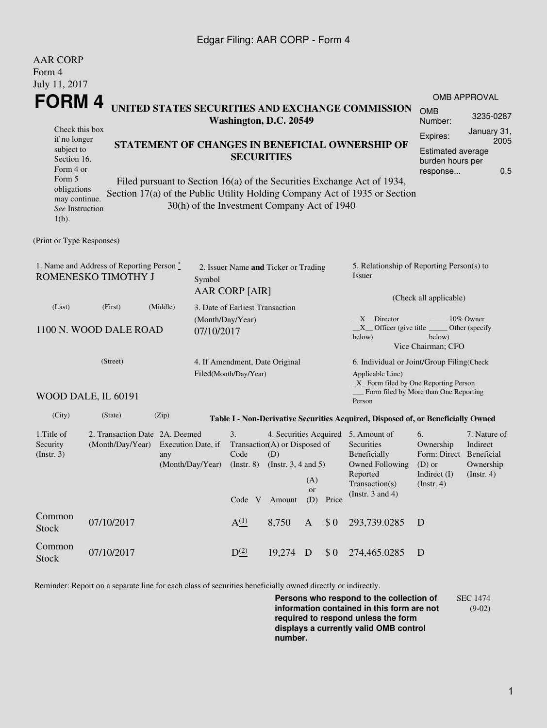## Edgar Filing: AAR CORP - Form 4

| <b>AAR CORP</b>                                                                                                                                                                                                                                                               |                                                                                                                                |                                                                              |  |                                                         |                                      |                         |             |                                                                                                                                                    |                                                                                  |                                                           |  |
|-------------------------------------------------------------------------------------------------------------------------------------------------------------------------------------------------------------------------------------------------------------------------------|--------------------------------------------------------------------------------------------------------------------------------|------------------------------------------------------------------------------|--|---------------------------------------------------------|--------------------------------------|-------------------------|-------------|----------------------------------------------------------------------------------------------------------------------------------------------------|----------------------------------------------------------------------------------|-----------------------------------------------------------|--|
| Form 4                                                                                                                                                                                                                                                                        |                                                                                                                                |                                                                              |  |                                                         |                                      |                         |             |                                                                                                                                                    |                                                                                  |                                                           |  |
| July 11, 2017                                                                                                                                                                                                                                                                 |                                                                                                                                |                                                                              |  |                                                         |                                      |                         |             |                                                                                                                                                    |                                                                                  | <b>OMB APPROVAL</b>                                       |  |
| FORM 4<br>UNITED STATES SECURITIES AND EXCHANGE COMMISSION<br>Washington, D.C. 20549                                                                                                                                                                                          |                                                                                                                                |                                                                              |  |                                                         |                                      |                         |             |                                                                                                                                                    | <b>OMB</b><br>Number:                                                            | 3235-0287                                                 |  |
| Check this box                                                                                                                                                                                                                                                                |                                                                                                                                |                                                                              |  |                                                         |                                      | Expires:                | January 31, |                                                                                                                                                    |                                                                                  |                                                           |  |
|                                                                                                                                                                                                                                                                               | if no longer<br>STATEMENT OF CHANGES IN BENEFICIAL OWNERSHIP OF<br>subject to<br><b>SECURITIES</b><br>Section 16.<br>Form 4 or |                                                                              |  |                                                         |                                      |                         |             |                                                                                                                                                    | <b>Estimated average</b><br>burden hours per<br>response                         | 2005<br>0.5                                               |  |
| Form 5<br>Filed pursuant to Section 16(a) of the Securities Exchange Act of 1934,<br>obligations<br>Section 17(a) of the Public Utility Holding Company Act of 1935 or Section<br>may continue.<br>30(h) of the Investment Company Act of 1940<br>See Instruction<br>$1(b)$ . |                                                                                                                                |                                                                              |  |                                                         |                                      |                         |             |                                                                                                                                                    |                                                                                  |                                                           |  |
| (Print or Type Responses)                                                                                                                                                                                                                                                     |                                                                                                                                |                                                                              |  |                                                         |                                      |                         |             |                                                                                                                                                    |                                                                                  |                                                           |  |
| 1. Name and Address of Reporting Person *<br>ROMENESKO TIMOTHY J<br>Symbol                                                                                                                                                                                                    |                                                                                                                                |                                                                              |  | 2. Issuer Name and Ticker or Trading<br>AAR CORP [AIR]  |                                      |                         |             | 5. Relationship of Reporting Person(s) to<br>Issuer                                                                                                |                                                                                  |                                                           |  |
|                                                                                                                                                                                                                                                                               |                                                                                                                                |                                                                              |  |                                                         | (Check all applicable)               |                         |             |                                                                                                                                                    |                                                                                  |                                                           |  |
| (Middle)<br>(Last)<br>(First)<br>3. Date of Earliest Transaction<br>(Month/Day/Year)<br>1100 N. WOOD DALE ROAD<br>07/10/2017                                                                                                                                                  |                                                                                                                                |                                                                              |  |                                                         |                                      |                         |             | $X$ Director<br>10% Owner<br>$X$ Officer (give title $\overline{\phantom{a}}$<br>Other (specify<br>below)<br>below)<br>Vice Chairman; CFO          |                                                                                  |                                                           |  |
| (Street)                                                                                                                                                                                                                                                                      |                                                                                                                                |                                                                              |  | 4. If Amendment, Date Original<br>Filed(Month/Day/Year) |                                      |                         |             | 6. Individual or Joint/Group Filing(Check<br>Applicable Line)                                                                                      |                                                                                  |                                                           |  |
|                                                                                                                                                                                                                                                                               | WOOD DALE, IL 60191                                                                                                            |                                                                              |  |                                                         |                                      |                         |             | _X_ Form filed by One Reporting Person<br>Form filed by More than One Reporting<br>Person                                                          |                                                                                  |                                                           |  |
| (City)                                                                                                                                                                                                                                                                        | (State)                                                                                                                        | (Zip)                                                                        |  |                                                         |                                      |                         |             | Table I - Non-Derivative Securities Acquired, Disposed of, or Beneficially Owned                                                                   |                                                                                  |                                                           |  |
| 1. Title of<br>Security<br>(Insert. 3)                                                                                                                                                                                                                                        | 2. Transaction Date 2A. Deemed<br>(Month/Day/Year)                                                                             | Execution Date, if<br>any<br>(Month/Day/Year) (Instr. 8) (Instr. 3, 4 and 5) |  | 3.<br>Code                                              | Transaction(A) or Disposed of<br>(D) |                         |             | 4. Securities Acquired 5. Amount of<br>Securities<br>Beneficially<br>Owned Following (D) or<br>Reported<br>Transaction(s)<br>(Instr. $3$ and $4$ ) | 6.<br>Ownership<br>Form: Direct Beneficial<br>Indirect $(I)$<br>$($ Instr. 4 $)$ | 7. Nature of<br>Indirect<br>Ownership<br>$($ Instr. 4 $)$ |  |
|                                                                                                                                                                                                                                                                               |                                                                                                                                |                                                                              |  |                                                         | Code V Amount                        | (A)<br><b>or</b><br>(D) | Price       |                                                                                                                                                    |                                                                                  |                                                           |  |
| Common<br><b>Stock</b>                                                                                                                                                                                                                                                        | 07/10/2017                                                                                                                     |                                                                              |  | A <sub>1</sub> <sup>(1)</sup>                           | 8,750                                | A                       | \$0         | 293,739.0285                                                                                                                                       | D                                                                                |                                                           |  |
| Common<br><b>Stock</b>                                                                                                                                                                                                                                                        | 07/10/2017                                                                                                                     |                                                                              |  | $D^{(2)}$                                               | 19,274 D                             |                         | \$0         | 274,465.0285                                                                                                                                       | D                                                                                |                                                           |  |

Reminder: Report on a separate line for each class of securities beneficially owned directly or indirectly.

**Persons who respond to the collection of information contained in this form are not required to respond unless the form displays a currently valid OMB control number.** SEC 1474 (9-02)